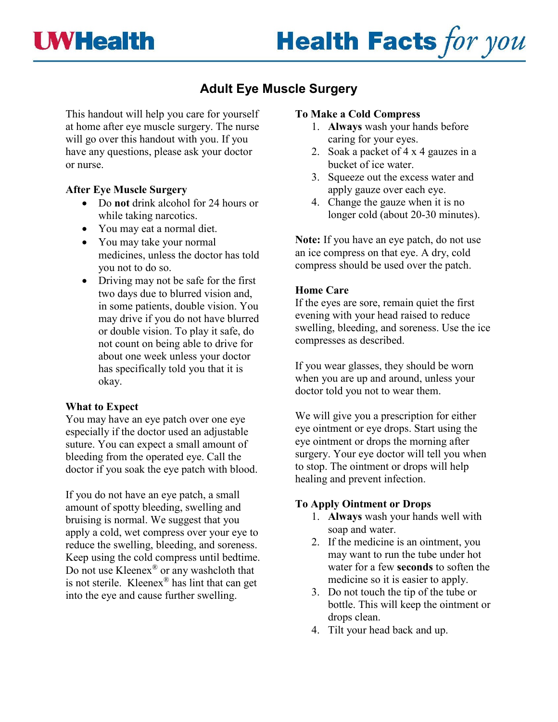# **Health Facts for you**

# **Adult Eye Muscle Surgery**

This handout will help you care for yourself at home after eye muscle surgery. The nurse will go over this handout with you. If you have any questions, please ask your doctor or nurse.

#### **After Eye Muscle Surgery**

- Do **not** drink alcohol for 24 hours or while taking narcotics.
- You may eat a normal diet.
- You may take your normal medicines, unless the doctor has told you not to do so.
- Driving may not be safe for the first two days due to blurred vision and, in some patients, double vision. You may drive if you do not have blurred or double vision. To play it safe, do not count on being able to drive for about one week unless your doctor has specifically told you that it is okay.

## **What to Expect**

You may have an eye patch over one eye especially if the doctor used an adjustable suture. You can expect a small amount of bleeding from the operated eye. Call the doctor if you soak the eye patch with blood.

If you do not have an eye patch, a small amount of spotty bleeding, swelling and bruising is normal. We suggest that you apply a cold, wet compress over your eye to reduce the swelling, bleeding, and soreness. Keep using the cold compress until bedtime. Do not use Kleenex® or any washcloth that is not sterile. Kleenex® has lint that can get into the eye and cause further swelling.

#### **To Make a Cold Compress**

- 1. **Always** wash your hands before caring for your eyes.
- 2. Soak a packet of 4 x 4 gauzes in a bucket of ice water.
- 3. Squeeze out the excess water and apply gauze over each eye.
- 4. Change the gauze when it is no longer cold (about 20-30 minutes).

**Note:** If you have an eye patch, do not use an ice compress on that eye. A dry, cold compress should be used over the patch.

## **Home Care**

If the eyes are sore, remain quiet the first evening with your head raised to reduce swelling, bleeding, and soreness. Use the ice compresses as described.

If you wear glasses, they should be worn when you are up and around, unless your doctor told you not to wear them.

We will give you a prescription for either eye ointment or eye drops. Start using the eye ointment or drops the morning after surgery. Your eye doctor will tell you when to stop. The ointment or drops will help healing and prevent infection.

#### **To Apply Ointment or Drops**

- 1. **Always** wash your hands well with soap and water.
- 2. If the medicine is an ointment, you may want to run the tube under hot water for a few **seconds** to soften the medicine so it is easier to apply.
- 3. Do not touch the tip of the tube or bottle. This will keep the ointment or drops clean.
- 4. Tilt your head back and up.